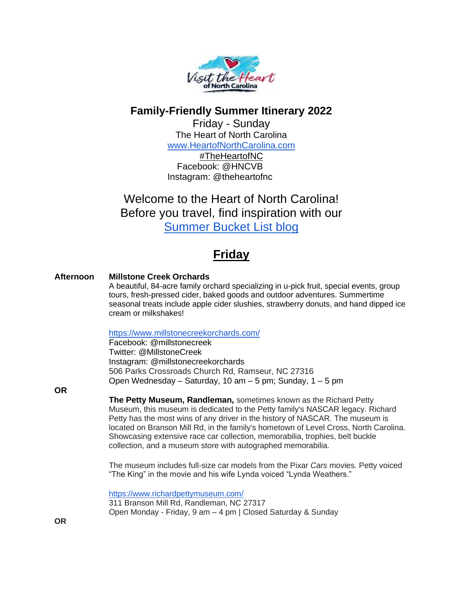

### **Family-Friendly Summer Itinerary 2022**

Friday - Sunday The Heart of North Carolina [www.HeartofNorthCarolina.com](http://www.heartofnorthcarolina.com/)

#TheHeartofNC Facebook: @HNCVB Instagram: @theheartofnc

Welcome to the Heart of North Carolina! Before you travel, find inspiration with our [Summer Bucket List blog](https://blog.heartofnorthcarolina.com/2021/06/a-cool-summer-retreat-in-heart-of-nc.html)

# **Friday**

#### **Afternoon Millstone Creek Orchards**

A beautiful, 84-acre family orchard specializing in u-pick fruit, special events, group tours, fresh-pressed cider, baked goods and outdoor adventures. Summertime seasonal treats include apple cider slushies, strawberry donuts, and hand dipped ice cream or milkshakes!

#### <https://www.millstonecreekorchards.com/>

Facebook: @millstonecreek Twitter: @MillstoneCreek Instagram: @millstonecreekorchards 506 Parks Crossroads Church Rd, Ramseur, NC 27316 Open Wednesday – Saturday, 10 am – 5 pm; Sunday, 1 – 5 pm

**OR**

**The Petty Museum, Randleman,** sometimes known as the Richard Petty Museum, this museum is dedicated to the Petty family's NASCAR legacy. Richard Petty has the most wins of any driver in the history of NASCAR. The museum is located on Branson Mill Rd, in the family's hometown of Level Cross, North Carolina. Showcasing extensive race car collection, memorabilia, trophies, belt buckle collection, and a museum store with autographed memorabilia.

The museum includes full-size car models from the Pixar *Cars* movies. Petty voiced "The King" in the movie and his wife Lynda voiced "Lynda Weathers."

<https://www.richardpettymuseum.com/> 311 Branson Mill Rd, Randleman, NC 27317 Open Monday - Friday, 9 am – 4 pm | Closed Saturday & Sunday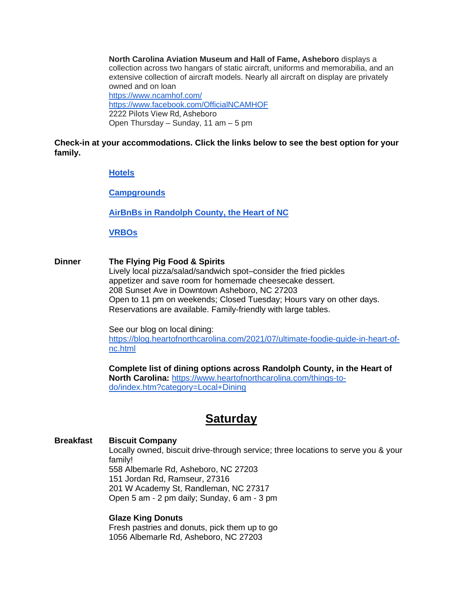**North Carolina Aviation Museum and Hall of Fame, Asheboro** displays a collection across two hangars of static aircraft, uniforms and memorabilia, and an extensive collection of aircraft models. Nearly all aircraft on display are privately owned and on loan <https://www.ncamhof.com/> <https://www.facebook.com/OfficialNCAMHOF> 2222 Pilots View Rd, Asheboro Open Thursday – Sunday, 11 am – 5 pm

**Check-in at your accommodations. Click the links below to see the best option for your family.**

#### **[Hotels](https://www.heartofnorthcarolina.com/places-to-stay/index.htm?category=Hotels)**

**[Campgrounds](https://www.heartofnorthcarolina.com/places-to-stay/index.htm?category=campgrounds)**

**[AirBnBs in Randolph County, the](https://www.airbnb.com/s/Asheboro--North-Carolina--United-States/homes?c=.pi0.pk475441696_80156751960&localized_ghost=true&gclid=Cj0KCQjwspKUBhCvARIsAB2IYut0kbLfer9IboDE2RXzQTwpVbh1ABmfDXTw1c-ut5XFcX2BcOJ9BcoaAu4uEALw_wcB) Heart of NC**

**[VRBOs](https://www.vrbo.com/vacation-rentals/usa/north-carolina/heartland/asheboro)**

**Dinner The Flying Pig Food & Spirits** Lively local pizza/salad/sandwich spot–consider the fried pickles appetizer and save room for homemade cheesecake dessert. 208 Sunset Ave in Downtown Asheboro, NC 27203 Open to 11 pm on weekends; Closed Tuesday; Hours vary on other days. Reservations are available. Family-friendly with large tables.

> See our blog on local dining: [https://blog.heartofnorthcarolina.com/2021/07/ultimate-foodie-guide-in-heart-of](https://blog.heartofnorthcarolina.com/2021/07/ultimate-foodie-guide-in-heart-of-nc.html)[nc.html](https://blog.heartofnorthcarolina.com/2021/07/ultimate-foodie-guide-in-heart-of-nc.html)

**Complete list of dining options across Randolph County, in the Heart of North Carolina:** [https://www.heartofnorthcarolina.com/things-to](https://www.heartofnorthcarolina.com/things-to-do/index.htm?category=Local+Dining)[do/index.htm?category=Local+Dining](https://www.heartofnorthcarolina.com/things-to-do/index.htm?category=Local+Dining)

## **Saturday**

#### **Breakfast Biscuit Company**

Locally owned, biscuit drive-through service; three locations to serve you & your family!

558 Albemarle Rd, Asheboro, NC 27203 151 Jordan Rd, Ramseur, 27316 201 W Academy St, Randleman, NC 27317 Open 5 am - 2 pm daily; Sunday, 6 am - 3 pm

#### **Glaze King Donuts**

Fresh pastries and donuts, pick them up to go 1056 Albemarle Rd, Asheboro, NC 27203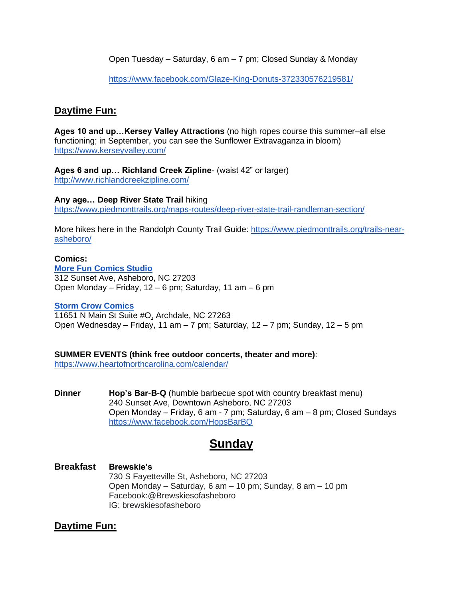Open Tuesday – Saturday, 6 am – 7 pm; Closed Sunday & Monday

<https://www.facebook.com/Glaze-King-Donuts-372330576219581/>

### **Daytime Fun:**

**Ages 10 and up…Kersey Valley Attractions** (no high ropes course this summer–all else functioning; in September, you can see the Sunflower Extravaganza in bloom) <https://www.kerseyvalley.com/>

**Ages 6 and up… Richland Creek Zipline**- (waist 42" or larger) <http://www.richlandcreekzipline.com/>

#### **Any age… Deep River State Trail** hiking

<https://www.piedmonttrails.org/maps-routes/deep-river-state-trail-randleman-section/>

More hikes here in the Randolph County Trail Guide: [https://www.piedmonttrails.org/trails-near](https://www.piedmonttrails.org/trails-near-asheboro/)[asheboro/](https://www.piedmonttrails.org/trails-near-asheboro/)

#### **Comics:**

**[More Fun Comics Studio](https://www.facebook.com/Comics928/)** 312 Sunset Ave, Asheboro, NC 27203 Open Monday – Friday, 12 – 6 pm; Saturday, 11 am – 6 pm

#### **[Storm Crow Comics](https://www.facebook.com/stormcrowcomics/?ref=hl)**

[11651 N Main St](https://www.google.com/maps/dir/?api=1&destination=35.917645%2C-79.975984&fbclid=IwAR0VWecX4IH7qlkBSuZ0r6opuPPDAYMD62IKAKfy69YKANPk8hG-mZFZc0A) Suite #O, Archdale, NC 27263 Open Wednesday – Friday, 11 am – 7 pm; Saturday, 12 – 7 pm; Sunday, 12 – 5 pm

#### **SUMMER EVENTS (think free outdoor concerts, theater and more)**:

<https://www.heartofnorthcarolina.com/calendar/>

**Dinner Hop's Bar-B-Q** (humble barbecue spot with country breakfast menu) 240 Sunset Ave, Downtown Asheboro, NC 27203 Open Monday – Friday, 6 am - 7 pm; Saturday, 6 am – 8 pm; Closed Sundays <https://www.facebook.com/HopsBarBQ>

## **Sunday**

## **Breakfast Brewskie's**

730 S Fayetteville St, Asheboro, NC 27203 Open Monday – Saturday, 6 am – 10 pm; Sunday, 8 am – 10 pm Facebook:@Brewskiesofasheboro IG: brewskiesofasheboro

### **Daytime Fun:**